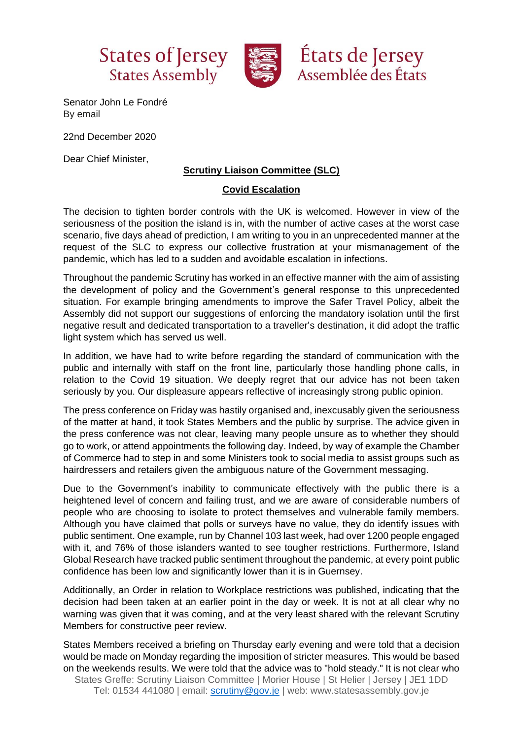



Senator John Le Fondré By email

22nd December 2020

Dear Chief Minister,

## **Scrutiny Liaison Committee (SLC)**

## **Covid Escalation**

The decision to tighten border controls with the UK is welcomed. However in view of the seriousness of the position the island is in, with the number of active cases at the worst case scenario, five days ahead of prediction, I am writing to you in an unprecedented manner at the request of the SLC to express our collective frustration at your mismanagement of the pandemic, which has led to a sudden and avoidable escalation in infections.

Throughout the pandemic Scrutiny has worked in an effective manner with the aim of assisting the development of policy and the Government's general response to this unprecedented situation. For example bringing amendments to improve the Safer Travel Policy, albeit the Assembly did not support our suggestions of enforcing the mandatory isolation until the first negative result and dedicated transportation to a traveller's destination, it did adopt the traffic light system which has served us well.

In addition, we have had to write before regarding the standard of communication with the public and internally with staff on the front line, particularly those handling phone calls, in relation to the Covid 19 situation. We deeply regret that our advice has not been taken seriously by you. Our displeasure appears reflective of increasingly strong public opinion.

The press conference on Friday was hastily organised and, inexcusably given the seriousness of the matter at hand, it took States Members and the public by surprise. The advice given in the press conference was not clear, leaving many people unsure as to whether they should go to work, or attend appointments the following day. Indeed, by way of example the Chamber of Commerce had to step in and some Ministers took to social media to assist groups such as hairdressers and retailers given the ambiguous nature of the Government messaging.

Due to the Government's inability to communicate effectively with the public there is a heightened level of concern and failing trust, and we are aware of considerable numbers of people who are choosing to isolate to protect themselves and vulnerable family members. Although you have claimed that polls or surveys have no value, they do identify issues with public sentiment. One example, run by Channel 103 last week, had over 1200 people engaged with it, and 76% of those islanders wanted to see tougher restrictions. Furthermore, Island Global Research have tracked public sentiment throughout the pandemic, at every point public confidence has been low and significantly lower than it is in Guernsey.

Additionally, an Order in relation to Workplace restrictions was published, indicating that the decision had been taken at an earlier point in the day or week. It is not at all clear why no warning was given that it was coming, and at the very least shared with the relevant Scrutiny Members for constructive peer review.

States Greffe: Scrutiny Liaison Committee | Morier House | St Helier | Jersey | JE1 1DD Tel: 01534 441080 | email: [scrutiny@gov.je](mailto:scrutiny@gov.je) | web: www.statesassembly.gov.je States Members received a briefing on Thursday early evening and were told that a decision would be made on Monday regarding the imposition of stricter measures. This would be based on the weekends results. We were told that the advice was to "hold steady." It is not clear who